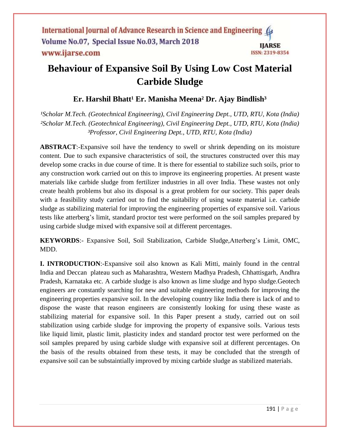# **Behaviour of Expansive Soil By Using Low Cost Material Carbide Sludge**

## **Er. Harshil Bhatt<sup>1</sup> Er. Manisha Meena<sup>2</sup> Dr. Ajay Bindlish<sup>3</sup>**

<sup>1</sup>Scholar M.Tech. (Geotechnical Engineering), Civil Engineering Dept., UTD, RTU, Kota (India) *²Scholar M.Tech. (Geotechnical Engineering), Civil Engineering Dept., UTD, RTU, Kota (India) ³Professor, Civil Engineering Dept., UTD, RTU, Kota (India)*

**ABSTRACT**:-Expansive soil have the tendency to swell or shrink depending on its moisture content. Due to such expansive characteristics of soil, the structures constructed over this may develop some cracks in due course of time. It is there for essential to stabilize such soils, prior to any construction work carried out on this to improve its engineering properties. At present waste materials like carbide sludge from fertilizer industries in all over India. These wastes not only create health problems but also its disposal is a great problem for our society. This paper deals with a feasibility study carried out to find the suitability of using waste material i.e. carbide sludge as stabilizing material for improving the engineering properties of expansive soil. Various tests like atterberg's limit, standard proctor test were performed on the soil samples prepared by using carbide sludge mixed with expansive soil at different percentages.

**KEYWORDS**:- Expansive Soil, Soil Stabilization, Carbide Sludge,Atterberg's Limit, OMC, MDD.

**I. INTRODUCTION**:-Expansive soil also known as Kali Mitti, mainly found in the central India and Deccan plateau such as Maharashtra, Western Madhya Pradesh, Chhattisgarh, Andhra Pradesh, Karnataka etc. A carbide sludge is also known as lime sludge and hypo sludge.Geotech engineers are constantly searching for new and suitable engineering methods for improving the engineering properties expansive soil. In the developing country like India there is lack of and to dispose the waste that reason engineers are consistently looking for using these waste as stabilizing material for expansive soil. In this Paper present a study, carried out on soil stabilization using carbide sludge for improving the property of expansive soils. Various tests like liquid limit, plastic limit, plasticity index and standard proctor test were performed on the soil samples prepared by using carbide sludge with expansive soil at different percentages. On the basis of the results obtained from these tests, it may be concluded that the strength of expansive soil can be substaintially improved by mixing carbide sludge as stabilized materials.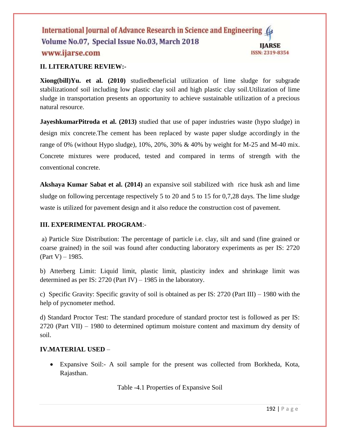## **II. LITERATURE REVIEW:-**

**Xiong(bill)Yu. et al. (2010)** studiedbeneficial utilization of lime sludge for subgrade stabilizationof soil including low plastic clay soil and high plastic clay soil.Utilization of lime sludge in transportation presents an opportunity to achieve sustainable utilization of a precious natural resource.

**JayeshkumarPitroda et al. (2013)** studied that use of paper industries waste (hypo sludge) in design mix concrete.The cement has been replaced by waste paper sludge accordingly in the range of 0% (without Hypo sludge), 10%, 20%, 30% & 40% by weight for M-25 and M-40 mix. Concrete mixtures were produced, tested and compared in terms of strength with the conventional concrete.

**Akshaya Kumar Sabat et al. (2014)** an expansive soil stabilized with rice husk ash and lime sludge on following percentage respectively 5 to 20 and 5 to 15 for 0,7,28 days. The lime sludge waste is utilized for pavement design and it also reduce the construction cost of pavement.

## **III. EXPERIMENTAL PROGRAM**:-

a) Particle Size Distribution: The percentage of particle i.e. clay, silt and sand (fine grained or coarse grained) in the soil was found after conducting laboratory experiments as per IS: 2720  $(Part V) - 1985.$ 

b) Atterberg Limit: Liquid limit, plastic limit, plasticity index and shrinkage limit was determined as per IS: 2720 (Part IV) – 1985 in the laboratory.

c) Specific Gravity: Specific gravity of soil is obtained as per IS: 2720 (Part III) – 1980 with the help of pycnometer method.

d) Standard Proctor Test: The standard procedure of standard proctor test is followed as per IS: 2720 (Part VII) – 1980 to determined optimum moisture content and maximum dry density of soil.

## **IV.MATERIAL USED** –

 Expansive Soil:- A soil sample for the present was collected from Borkheda, Kota, Rajasthan.

Table -4.1 Properties of Expansive Soil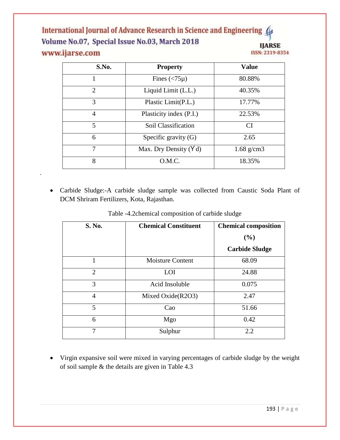| S.No.          | <b>Property</b>                    | <b>Value</b> |
|----------------|------------------------------------|--------------|
|                | Fines $\left(\langle 75\mu\right)$ | 80.88%       |
| $\overline{2}$ | Liquid Limit (L.L.)                | 40.35%       |
| 3              | Plastic Limit(P.L.)                | 17.77%       |
| 4              | Plasticity index (P.I.)            | 22.53%       |
| 5              | Soil Classification                | <b>CI</b>    |
| 6              | Specific gravity (G)               | 2.65         |
| 7              | Max. Dry Density $(Y d)$           | $1.68$ g/cm3 |
| 8              | O.M.C.                             | 18.35%       |

 Carbide Sludge:-A carbide sludge sample was collected from Caustic Soda Plant of DCM Shriram Fertilizers, Kota, Rajasthan.

.

| S. No.         | <b>Chemical Constituent</b> | <b>Chemical composition</b> |
|----------------|-----------------------------|-----------------------------|
|                |                             | (%)                         |
|                |                             | <b>Carbide Sludge</b>       |
| 1              | <b>Moisture Content</b>     | 68.09                       |
| $\overline{2}$ | LOI                         | 24.88                       |
| 3              | Acid Insoluble              | 0.075                       |
| $\overline{4}$ | Mixed Oxide(R2O3)           | 2.47                        |
| 5              | Cao                         | 51.66                       |
| 6              | Mgo                         | 0.42                        |
| 7              | Sulphur                     | 2.2                         |

Table -4.2chemical composition of carbide sludge

 Virgin expansive soil were mixed in varying percentages of carbide sludge by the weight of soil sample & the details are given in Table 4.3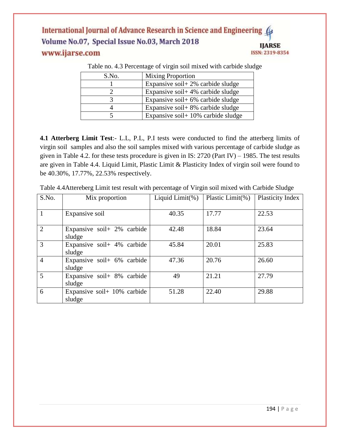| S.No. | <b>Mixing Proportion</b>              |
|-------|---------------------------------------|
|       | Expansive soil + 2% carbide sludge    |
|       | Expansive soil + 4% carbide sludge    |
|       | Expansive soil + $6\%$ carbide sludge |
|       | Expansive soil + $8\%$ carbide sludge |
|       | Expansive soil + 10% carbide sludge   |

Table no. 4.3 Percentage of virgin soil mixed with carbide sludge

**4.1 Atterberg Limit Test**:- L.L, P.L, P.I tests were conducted to find the atterberg limits of virgin soil samples and also the soil samples mixed with various percentage of carbide sludge as given in Table 4.2. for these tests procedure is given in IS: 2720 (Part IV) – 1985. The test results are given in Table 4.4. Liquid Limit, Plastic Limit & Plasticity Index of virgin soil were found to be 40.30%, 17.77%, 22.53% respectively.

| S.No.          | Mix proportion              | Liquid Limit(%) | Plastic Limit(%) | Plasticity Index |
|----------------|-----------------------------|-----------------|------------------|------------------|
|                |                             |                 |                  |                  |
| $\mathbf{1}$   | Expansive soil              | 40.35           | 17.77            | 22.53            |
| 2              | Expansive soil + 2% carbide | 42.48           | 18.84            | 23.64            |
|                | sludge                      |                 |                  |                  |
| $\overline{3}$ | Expansive soil+ 4% carbide  | 45.84           | 20.01            | 25.83            |
|                | sludge                      |                 |                  |                  |
| $\overline{4}$ | Expansive soil+ 6% carbide  | 47.36           | 20.76            | 26.60            |
|                | sludge                      |                 |                  |                  |
| 5              | Expansive soil+ 8% carbide  | 49              | 21.21            | 27.79            |
|                | sludge                      |                 |                  |                  |
| 6              | Expansive soil+ 10% carbide | 51.28           | 22.40            | 29.88            |
|                | sludge                      |                 |                  |                  |

Table 4.4Attereberg Limit test result with percentage of Virgin soil mixed with Carbide Sludge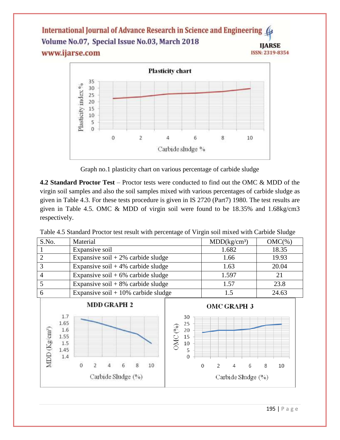

Graph no.1 plasticity chart on various percentage of carbide sludge

**4.2 Standard Proctor Test** – Proctor tests were conducted to find out the OMC & MDD of the virgin soil samples and also the soil samples mixed with various percentages of carbide sludge as given in Table 4.3. For these tests procedure is given in IS 2720 (Part7) 1980. The test results are given in Table 4.5. OMC & MDD of virgin soil were found to be 18.35% and 1.68kg/cm3 respectively.

| Table 4.5 Standard Proctor test result with percentage of Virgin soil mixed with Carbide Sludge |  |  |
|-------------------------------------------------------------------------------------------------|--|--|
|                                                                                                 |  |  |

| S.No. | Material                               | MDD(kg/cm <sup>3</sup> ) | $OMC(\%)$ |
|-------|----------------------------------------|--------------------------|-----------|
|       | Expansive soil                         | 1.682                    | 18.35     |
|       | Expansive soil $+2\%$ carbide sludge   | 1.66                     | 19.93     |
|       | Expansive soil $+4\%$ carbide sludge   | 1.63                     | 20.04     |
|       | Expansive soil + $6\%$ carbide sludge  | 1.597                    | 21        |
|       | Expansive soil $+8\%$ carbide sludge   | 1.57                     | 23.8      |
| n     | Expansive soil + $10\%$ carbide sludge |                          | 24.63     |

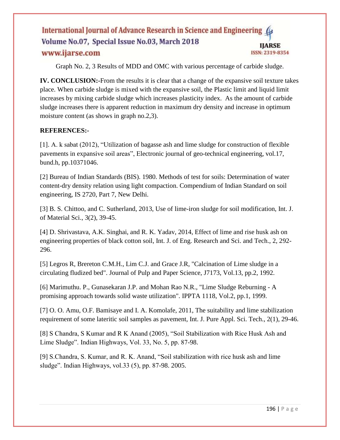Graph No. 2, 3 Results of MDD and OMC with various percentage of carbide sludge.

**IV. CONCLUSION:-**From the results it is clear that a change of the expansive soil texture takes place. When carbide sludge is mixed with the expansive soil, the Plastic limit and liquid limit increases by mixing carbide sludge which increases plasticity index. As the amount of carbide sludge increases there is apparent reduction in maximum dry density and increase in optimum moisture content (as shows in graph no.2,3).

## **REFERENCES:-**

[1]. A. k sabat (2012), "Utilization of bagasse ash and lime sludge for construction of flexible pavements in expansive soil areas", Electronic journal of geo-technical engineering, vol.17, bund.h, pp.10371046.

[2] Bureau of Indian Standards (BIS). 1980. Methods of test for soils: Determination of water content-dry density relation using light compaction. Compendium of Indian Standard on soil engineering, IS 2720, Part 7, New Delhi.

[3] B. S. Chittoo, and C. Sutherland, 2013, Use of lime-iron sludge for soil modification, Int. J. of Material Sci., 3(2), 39-45.

[4] D. Shrivastava, A.K. Singhai, and R. K. Yadav, 2014, Effect of lime and rise husk ash on engineering properties of black cotton soil, Int. J. of Eng. Research and Sci. and Tech., 2, 292- 296.

[5] Legros R, Brereton C.M.H., Lim C.J. and Grace J.R, "Calcination of Lime sludge in a circulating fludized bed". Journal of Pulp and Paper Science, J7173, Vol.13, pp.2, 1992.

[6] Marimuthu. P., Gunasekaran J.P. and Mohan Rao N.R., "Lime Sludge Reburning - A promising approach towards solid waste utilization". IPPTA 1118, Vol.2, pp.1, 1999.

[7] O. O. Amu, O.F. Bamisaye and I. A. Komolafe, 2011, The suitability and lime stabilization requirement of some lateritic soil samples as pavement, Int. J. Pure Appl. Sci. Tech., 2(1), 29-46.

[8] S Chandra, S Kumar and R K Anand (2005), "Soil Stabilization with Rice Husk Ash and Lime Sludge". Indian Highways, Vol. 33, No. 5, pp. 87-98.

[9] S.Chandra, S. Kumar, and R. K. Anand, "Soil stabilization with rice husk ash and lime sludge". Indian Highways, vol.33 (5), pp. 87-98. 2005.